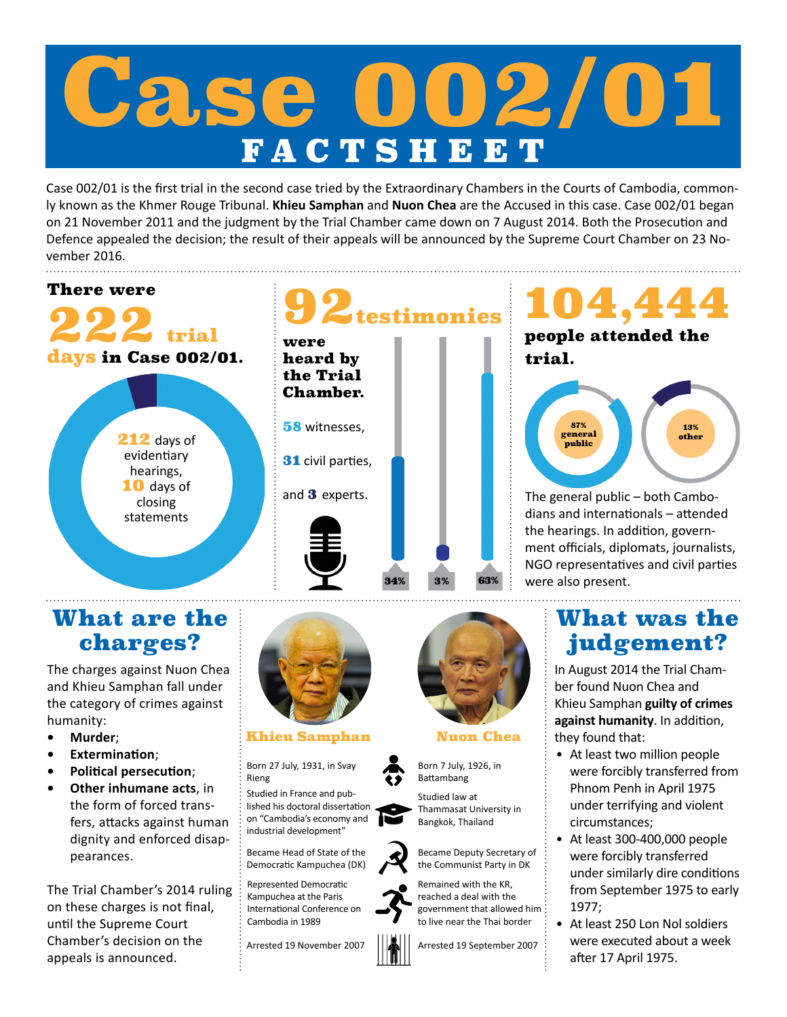# Case 002/01 FACTSHEE

Case 002/01 is the first trial in the second case tried by the Extraordinary Chambers in the Courts of Cambodia, commonly known as the Khmer Rouge Tribunal. **Khieu Samphan** and **Nuon Chea** are the Accused in this case. Case 002/01 began on 21 November 2011 and the judgment by the Trial Chamber came down on 7 August 2014. Both the Prosecution and Defence appealed the decision; the result of their appeals will be announced by the Supreme Court Chamber on 23 November 2016.

### There were  $22$ <sub>trial</sub> days in Case 002/01. **212** days of evidentiary

hearings, 10 days of closing statements



## 104,444

people attended the trial.



The general public – both Cambodians and internationals – attended the hearings. In addition, government officials, diplomats, journalists, NGO representatives and civil parties

### What are the charges?

The charges against Nuon Chea and Khieu Samphan fall under the category of crimes against humanity:

- **• Murder**;
- **• Extermination**;
- **• Political persecution**;
- **• Other inhumane acts**, in the form of forced transfers, attacks against human dignity and enforced disappearances.

The Trial Chamber's 2014 ruling on these charges is not final, until the Supreme Court Chamber's decision on the appeals is announced.



### Khieu Samphan Nuon Chea

Born 27 July, 1931, in Svay Rieng

Studied in France and published his doctoral dissertation on "Cambodia's economy and industrial development"

Became Head of State of the Democratic Kampuchea (DK)

Represented Democratic Kampuchea at the Paris International Conference on Cambodia in 1989



Born 7 July, 1926, in Battambang

Studied law at Thammasat University in Bangkok, Thailand

Became Deputy Secretary of the Communist Party in DK

Remained with the KR, reached a deal with the government that allowed him to live near the Thai border

Arrested 19 November 2007 Arrested 19 September 2007

### What was the judgement?

In August 2014 the Trial Chamber found Nuon Chea and Khieu Samphan **guilty of crimes against humanity**. In addition, they found that:

- At least two million people were forcibly transferred from Phnom Penh in April 1975 under terrifying and violent circumstances;
- At least 300-400,000 people were forcibly transferred under similarly dire conditions from September 1975 to early 1977;
- At least 250 Lon Nol soldiers were executed about a week after 17 April 1975.